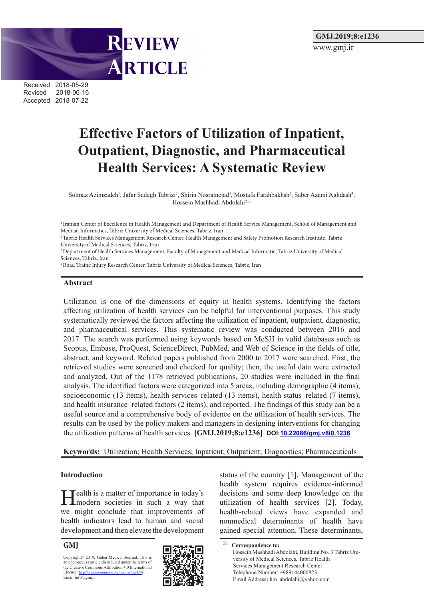Received 2018-05-29 Revised 2018-06-16 Accepted 2018-07-22

# **Effective Factors of Utilization of Inpatient, Outpatient, Diagnostic, and Pharmaceutical Health Services: A Systematic Review**

Solmaz Azimzadeh<sup>1</sup>, Jafar Sadegh Tabrizi<sup>2</sup>, Shirin Nosratnejad<sup>3</sup>, Mostafa Farahbakhsh<sup>2</sup>, Saber Azami Aghdash<sup>4</sup>, Hossein Mashhadi Abdolahi<sup>2⊠</sup>

<sup>1</sup> Iranian Center of Excellence in Health Management and Department of Health Service Management, School of Management and Medical Informatics, Tabriz University of Medical Sciences, Tabriz, Iran

<sup>2</sup> Tabriz Health Services Management Research Center, Health Management and Safety Promotion Research Institute, Tabriz University of Medical Sciences, Tabriz, Iran

3 Department of Health Services Management, Faculty of Management and Medical Informatic, Tabriz University of Medical Sciences, Tabriz, Iran

4 Road Traffic Injury Research Center, Tabriz University of Medical Sciences, Tabriz, Iran

**REVIEW** 

ARTICLE

#### **Abstract**

Utilization is one of the dimensions of equity in health systems. Identifying the factors affecting utilization of health services can be helpful for interventional purposes. This study systematically reviewed the factors affecting the utilization of inpatient, outpatient, diagnostic, and pharmaceutical services. This systematic review was conducted between 2016 and 2017. The search was performed using keywords based on MeSH in valid databases such as Scopus, Embase, ProQuest, ScienceDirect, PubMed, and Web of Science in the fields of title, abstract, and keyword. Related papers published from 2000 to 2017 were searched. First, the retrieved studies were screened and checked for quality; then, the useful data were extracted and analyzed. Out of the 1178 retrieved publications, 20 studies were included in the final analysis. The identified factors were categorized into 5 areas, including demographic (4 items), socioeconomic (13 items), health services–related (13 items), health status–related (7 items), and health insurance–related factors (2 items), and reported. The findings of this study can be a useful source and a comprehensive body of evidence on the utilization of health services. The results can be used by the policy makers and managers in designing interventions for changing the utilization patterns of health services. **[GMJ.2019;8:e1236] DOI:10.22086/gmj.v8i0.1236**

**Keywords:** Utilization; Health Services; Inpatient; Outpatient; Diagnostics; Pharmaceuticals

#### **Introduction**

Tealth is a matter of importance in today's modern societies in such a way that we might conclude that improvements of health indicators lead to human and social development and then elevate the development

#### **GMJ**

Copyright© 2019, Galen Medical Journal. This is an open-access article distributed under the terms of the Creative Commons Attribution 4.0 International License (<http://creativecommons.org/licenses/by/4.0/>)<br>Email:info@gmj.ir



status of the country [1]. Management of the health system requires evidence-informed decisions and some deep knowledge on the utilization of health services [2]. Today, health-related views have expanded and nonmedical determinants of health have gained special attention. These determinants,

 **Correspondence to:** Hossein Mashhadi Abdolahi, Building No. 3 Tabriz University of Medical Sciences, Tabriz Health Services Management Research Center Telephone Number: +989144000823 Email Address**:** [hm\\_abdolahi@yahoo.com](mailto:hm_abdolahi@yahoo.com)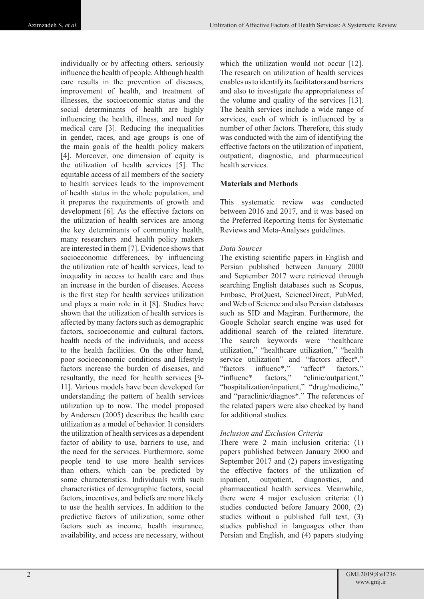individually or by affecting others, seriously influence the health of people. Although health care results in the prevention of diseases, improvement of health, and treatment of illnesses, the socioeconomic status and the social determinants of health are highly influencing the health, illness, and need for medical care [3]. Reducing the inequalities in gender, races, and age groups is one of the main goals of the health policy makers [4]. Moreover, one dimension of equity is the utilization of health services [5]. The equitable access of all members of the society to health services leads to the improvement of health status in the whole population, and it prepares the requirements of growth and development [6]. As the effective factors on the utilization of health services are among the key determinants of community health, many researchers and health policy makers are interested in them [7]. Evidence shows that socioeconomic differences, by influencing the utilization rate of health services, lead to inequality in access to health care and thus an increase in the burden of diseases. Access is the first step for health services utilization and plays a main role in it [8]. Studies have shown that the utilization of health services is affected by many factors such as demographic factors, socioeconomic and cultural factors, health needs of the individuals, and access to the health facilities. On the other hand, poor socioeconomic conditions and lifestyle factors increase the burden of diseases, and resultantly, the need for health services [9- 11]. Various models have been developed for understanding the pattern of health services utilization up to now. The model proposed by Andersen (2005) describes the health care utilization as a model of behavior. It considers the utilization of health services as a dependent factor of ability to use, barriers to use, and the need for the services. Furthermore, some people tend to use more health services than others, which can be predicted by some characteristics. Individuals with such characteristics of demographic factors, social factors, incentives, and beliefs are more likely to use the health services. In addition to the predictive factors of utilization, some other factors such as income, health insurance, availability, and access are necessary, without

which the utilization would not occur [12]. The research on utilization of health services enables us to identify its facilitators and barriers and also to investigate the appropriateness of the volume and quality of the services [13]. The health services include a wide range of services, each of which is influenced by a number of other factors. Therefore, this study was conducted with the aim of identifying the effective factors on the utilization of inpatient, outpatient, diagnostic, and pharmaceutical health services.

### **Materials and Methods**

This systematic review was conducted between 2016 and 2017, and it was based on the Preferred Reporting Items for Systematic Reviews and Meta-Analyses guidelines.

# *Data Sources*

The existing scientific papers in English and Persian published between January 2000 and September 2017 were retrieved through searching English databases such as Scopus, Embase, ProQuest, ScienceDirect, PubMed, and Web of Science and also Persian databases such as SID and Magiran. Furthermore, the Google Scholar search engine was used for additional search of the related literature. The search keywords were "healthcare utilization," "healthcare utilization," "health service utilization" and "factors affect\*," "factors influenc\*," "affect\* factors," "influenc\* factors," "clinic/outpatient," "hospitalization/inpatient," "drug/medicine," and "paraclinic/diagnos\*." The references of the related papers were also checked by hand for additional studies.

# *Inclusion and Exclusion Criteria*

There were 2 main inclusion criteria: (1) papers published between January 2000 and September 2017 and (2) papers investigating the effective factors of the utilization of inpatient, outpatient, diagnostics, and pharmaceutical health services. Meanwhile, there were 4 major exclusion criteria: (1) studies conducted before January 2000, (2) studies without a published full text, (3) studies published in languages other than Persian and English, and (4) papers studying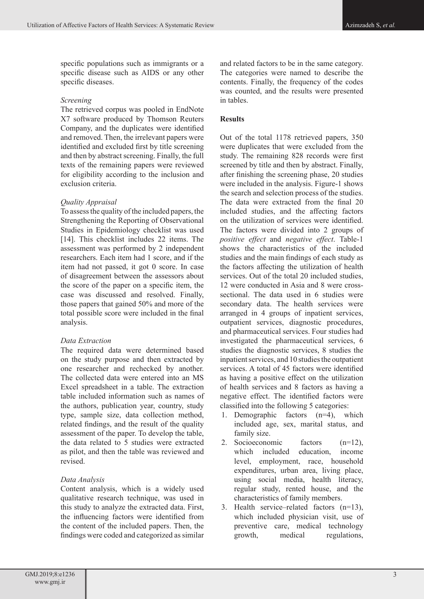specific populations such as immigrants or a specific disease such as AIDS or any other specific diseases.

# *Screening*

The retrieved corpus was pooled in EndNote X7 software produced by Thomson Reuters Company, and the duplicates were identified and removed. Then, the irrelevant papers were identified and excluded first by title screening and then by abstract screening. Finally, the full texts of the remaining papers were reviewed for eligibility according to the inclusion and exclusion criteria.

# *Quality Appraisal*

To assess the quality of the included papers, the Strengthening the Reporting of Observational Studies in Epidemiology checklist was used [14]. This checklist includes 22 items. The assessment was performed by 2 independent researchers. Each item had 1 score, and if the item had not passed, it got 0 score. In case of disagreement between the assessors about the score of the paper on a specific item, the case was discussed and resolved. Finally, those papers that gained 50% and more of the total possible score were included in the final analysis.

# *Data Extraction*

The required data were determined based on the study purpose and then extracted by one researcher and rechecked by another. The collected data were entered into an MS Excel spreadsheet in a table. The extraction table included information such as names of the authors, publication year, country, study type, sample size, data collection method, related findings, and the result of the quality assessment of the paper. To develop the table, the data related to 5 studies were extracted as pilot, and then the table was reviewed and revised.

# *Data Analysis*

Content analysis, which is a widely used qualitative research technique, was used in this study to analyze the extracted data. First, the influencing factors were identified from the content of the included papers. Then, the findings were coded and categorized as similar and related factors to be in the same category. The categories were named to describe the contents. Finally, the frequency of the codes was counted, and the results were presented in tables.

# **Results**

Out of the total 1178 retrieved papers, 350 were duplicates that were excluded from the study. The remaining 828 records were first screened by title and then by abstract. Finally, after finishing the screening phase, 20 studies were included in the analysis. Figure-1 shows the search and selection process of the studies. The data were extracted from the final 20 included studies, and the affecting factors on the utilization of services were identified. The factors were divided into 2 groups of *positive effect* and *negative effect*. Table-1 shows the characteristics of the included studies and the main findings of each study as the factors affecting the utilization of health services. Out of the total 20 included studies, 12 were conducted in Asia and 8 were crosssectional. The data used in 6 studies were secondary data. The health services were arranged in 4 groups of inpatient services, outpatient services, diagnostic procedures, and pharmaceutical services. Four studies had investigated the pharmaceutical services, 6 studies the diagnostic services, 8 studies the inpatient services, and 10 studies the outpatient services. A total of 45 factors were identified as having a positive effect on the utilization of health services and 8 factors as having a negative effect. The identified factors were classified into the following 5 categories:

- 1. Demographic factors (n=4), which included age, sex, marital status, and family size.
- 2. Socioeconomic factors (n=12), which included education, income level, employment, race, household expenditures, urban area, living place, using social media, health literacy, regular study, rented house, and the characteristics of family members.
- 3. Health service–related factors (n=13), which included physician visit, use of preventive care, medical technology growth, medical regulations,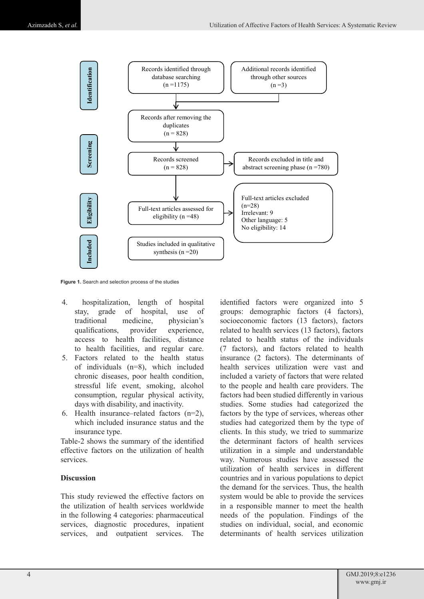

**Figure 1.** Search and selection process of the studies

- 4. hospitalization, length of hospital stay, grade of hospital, use of traditional medicine, physician's qualifications, provider experience, access to health facilities, distance to health facilities, and regular care.
- 5. Factors related to the health status of individuals (n=8), which included chronic diseases, poor health condition, stressful life event, smoking, alcohol consumption, regular physical activity, days with disability, and inactivity.
- 6. Health insurance–related factors (n=2), which included insurance status and the insurance type.

Table-2 shows the summary of the identified effective factors on the utilization of health services.

#### **Discussion**

This study reviewed the effective factors on the utilization of health services worldwide in the following 4 categories: pharmaceutical services, diagnostic procedures, inpatient services, and outpatient services. The

identified factors were organized into 5 groups: demographic factors (4 factors), socioeconomic factors (13 factors), factors related to health services (13 factors), factors related to health status of the individuals (7 factors), and factors related to health insurance (2 factors). The determinants of health services utilization were vast and included a variety of factors that were related to the people and health care providers. The factors had been studied differently in various studies. Some studies had categorized the factors by the type of services, whereas other studies had categorized them by the type of clients. In this study, we tried to summarize the determinant factors of health services utilization in a simple and understandable way. Numerous studies have assessed the utilization of health services in different countries and in various populations to depict the demand for the services. Thus, the health system would be able to provide the services in a responsible manner to meet the health needs of the population. Findings of the studies on individual, social, and economic determinants of health services utilization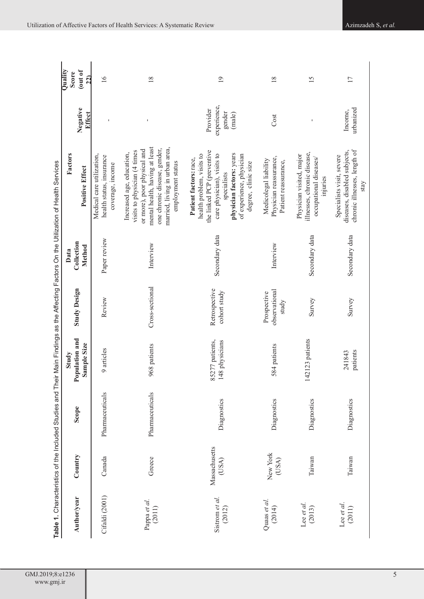| GMJ.2019;8:e1236                              |
|-----------------------------------------------|
| www.gmj.in<br>the contract of the contract of |

|                                                                                    | Quality<br><b>Score</b> | (out of<br>22)                | $\overline{16}$                                                           | $\frac{8}{2}$                                                                                                                                                                                                     | $\overline{19}$                                                                                                                                                                                               | $\overline{18}$                                                         | 15                                                                                            | $\overline{17}$                                                                                   |
|------------------------------------------------------------------------------------|-------------------------|-------------------------------|---------------------------------------------------------------------------|-------------------------------------------------------------------------------------------------------------------------------------------------------------------------------------------------------------------|---------------------------------------------------------------------------------------------------------------------------------------------------------------------------------------------------------------|-------------------------------------------------------------------------|-----------------------------------------------------------------------------------------------|---------------------------------------------------------------------------------------------------|
|                                                                                    |                         | Negative<br>Effect            |                                                                           |                                                                                                                                                                                                                   | experience,<br>Provider<br>gender<br>(male)                                                                                                                                                                   | Cost                                                                    |                                                                                               | urbanized<br>Income,                                                                              |
| Their Main Findings as the Affecting Factors On the Utilization of Health Services | Factors                 | <b>Positive Effect</b>        | Medical care utilization,<br>health status, insurance<br>coverage, income | mental health, having at least<br>married, living in urban area,<br>one chronic disease, gender,<br>or more), poor physical and<br>visits to physician (4 times<br>Increased age, education,<br>employment status | the linked PCP (preventive<br>physician factors: years<br>health problem, visits to<br>care physician), visits to<br>of experience, physician<br>Patient factors: race,<br>degree, clinic size<br>specialists | Physician reassurance,<br>Medicolegal liability<br>Patient reassurance, | illnesses, chronic disease,<br>Physician visited, major<br>occupational diseases/<br>injuries | chronic illnesses, length of<br>diseases, disabled subjects,<br>Specialists visit, severe<br>stay |
|                                                                                    | Data                    | Collection<br>Method          | Paper review                                                              | Interview                                                                                                                                                                                                         | Secondary data                                                                                                                                                                                                | Interview                                                               | Secondary data                                                                                | Secondary data                                                                                    |
|                                                                                    |                         | <b>Study Design</b>           | Review                                                                    | Cross-sectional                                                                                                                                                                                                   | Retrospective<br>cohort study                                                                                                                                                                                 | observational<br>Prospective<br>study                                   | Survey                                                                                        | Survey                                                                                            |
|                                                                                    | Study                   | Population and<br>Sample Size | 9 articles                                                                | 968 patients                                                                                                                                                                                                      | 85277 patients,<br>148 physicians                                                                                                                                                                             | 584 patients                                                            | 142123 patients                                                                               | patients<br>241843                                                                                |
| <b>Table 1.</b> Characteristics of the Included Studies and                        |                         | Scope                         | Pharmaceuticals                                                           | Pharmaceuticals                                                                                                                                                                                                   | Diagnostics                                                                                                                                                                                                   | Diagnostics                                                             | Diagnostics                                                                                   | Diagnostics                                                                                       |
|                                                                                    |                         | Country                       | Canada                                                                    | Greece                                                                                                                                                                                                            | Massachusetts<br>(USA)                                                                                                                                                                                        | New York<br>(USA)                                                       | Taiwan                                                                                        | Taiwan                                                                                            |
|                                                                                    |                         | Author/year                   | Cifaldi (2001)                                                            | Pappa et al.<br>(2011)                                                                                                                                                                                            | Sistrom et al.<br>(2012)                                                                                                                                                                                      | Quaas et al.<br>(2014)                                                  | Lee et al.<br>(2013)                                                                          | Lee et al.<br>(2011)                                                                              |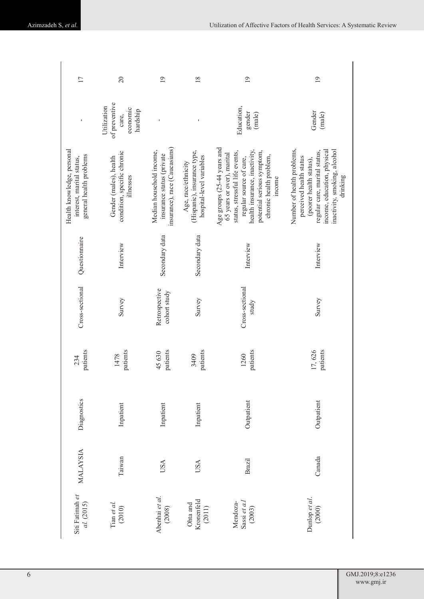| 17                                                                                 | $\overline{20}$                                                    | $\overline{19}$                                                                        | 18                                                                             | $\overline{19}$                                                                                                                                                                                                            | $\overline{19}$                                                                                                                                                                              |
|------------------------------------------------------------------------------------|--------------------------------------------------------------------|----------------------------------------------------------------------------------------|--------------------------------------------------------------------------------|----------------------------------------------------------------------------------------------------------------------------------------------------------------------------------------------------------------------------|----------------------------------------------------------------------------------------------------------------------------------------------------------------------------------------------|
|                                                                                    | of preventive<br>Utilization<br>economic<br>hardship<br>care,      | ı                                                                                      | f,                                                                             | Education,<br>gender<br>(male)                                                                                                                                                                                             | Gender<br>(male)                                                                                                                                                                             |
| Health knowledge, personal<br>general health problems<br>interest, marital status, | condition, specific chronic<br>Gender (males), health<br>illnesses | insurance), race (Caucasians)<br>Median household income,<br>insurance status (private | (Hispanic), insurance type,<br>hospital-level variables<br>Age, race/ethnicity | Age groups (25-44 years and<br>health insurance, inactivity,<br>potential serious symptom,<br>status, stressful life events,<br>65 years or over), marital<br>chronic health problem,<br>regular source of care,<br>income | Number of health problems,<br>income, education, physical<br>inactivity, smoking, alcohol<br>regular care, marital status,<br>perceived health status<br>(poorer health status),<br>drinking |
| Questionnaire                                                                      | Interview                                                          | Secondary data                                                                         | Secondary data                                                                 | Interview                                                                                                                                                                                                                  | Interview                                                                                                                                                                                    |
| Cross-sectional                                                                    | Survey                                                             | Retrospective<br>cohort study                                                          | Survey                                                                         | Cross-sectional<br>study                                                                                                                                                                                                   | Survey                                                                                                                                                                                       |
| patients<br>234                                                                    | patients<br>1478                                                   | patients<br>45630                                                                      | patients<br>3409                                                               | patients<br>1260                                                                                                                                                                                                           | 17,626<br>patients                                                                                                                                                                           |
| Diagnostics                                                                        | Inpatient                                                          | Inpatient                                                                              | Inpatient                                                                      | Outpatient                                                                                                                                                                                                                 | Outpatient                                                                                                                                                                                   |
| <b>MALAYSIA</b>                                                                    | Taiwan                                                             | USA                                                                                    | USA                                                                            | <b>Brazil</b>                                                                                                                                                                                                              | Canada                                                                                                                                                                                       |
| Siti Fatimah et<br>al. (2015)                                                      | Tian et al.<br>(2010)                                              | Abenhai et al.<br>(2008)                                                               | Kronenfeld<br>Ohta and<br>(2011)                                               | Mendoza-<br>Sassi et a.l.<br>(2003)                                                                                                                                                                                        | Dunlop et al.<br>(2000)                                                                                                                                                                      |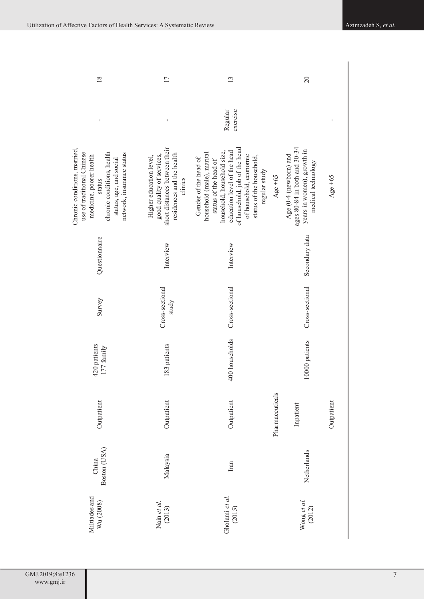| 18                                                                                                                                                                                                | 17                                                                                                                            | 13                                                                                                                                                                                                                                               |                 | 20                                                                                                         |            |
|---------------------------------------------------------------------------------------------------------------------------------------------------------------------------------------------------|-------------------------------------------------------------------------------------------------------------------------------|--------------------------------------------------------------------------------------------------------------------------------------------------------------------------------------------------------------------------------------------------|-----------------|------------------------------------------------------------------------------------------------------------|------------|
|                                                                                                                                                                                                   |                                                                                                                               | exercise<br>Regular                                                                                                                                                                                                                              |                 |                                                                                                            |            |
| Chronic conditions, married,<br>use of traditional Chinese<br>chronic conditions, health<br>network, insurance status<br>medicine, poorer health<br>status, age, and social<br>$_{\mbox{status}}$ | short distances between their<br>residences and the health<br>good quality of services,<br>Higher education level,<br>clinics | of household, job of the head<br>education level of the head<br>household, household size,<br>household (male), marital<br>of household, economic<br>status of the household,<br>Gender of the head of<br>status of the head of<br>regular study | Age $+65$       | ages 80-84 in both and 30-34<br>years in women), growth in<br>Age (0-4 (newborn) and<br>medical technology | Age $+65$  |
| Questionnaire                                                                                                                                                                                     | Interview                                                                                                                     | Interview                                                                                                                                                                                                                                        |                 | Secondary data                                                                                             |            |
| Survey                                                                                                                                                                                            | Cross-sectional<br>study                                                                                                      | Cross-sectional                                                                                                                                                                                                                                  |                 | Cross-sectional                                                                                            |            |
| 420 patients<br>177 family                                                                                                                                                                        | 83 patients                                                                                                                   | 400 households                                                                                                                                                                                                                                   |                 | 10000 patients                                                                                             |            |
| Outpatient                                                                                                                                                                                        | Outpatient                                                                                                                    | Outpatient                                                                                                                                                                                                                                       | Pharmaceuticals | Inpatient                                                                                                  | Outpatient |
| Boston (USA)<br>China                                                                                                                                                                             | Malaysia                                                                                                                      | Iran                                                                                                                                                                                                                                             |                 | Netherlands                                                                                                |            |
| Miltiades and<br>Wu (2008)                                                                                                                                                                        | Nain et al.<br>(2013)                                                                                                         | Gholami et al.<br>(2015)                                                                                                                                                                                                                         |                 | Wong et al.<br>(2012)                                                                                      |            |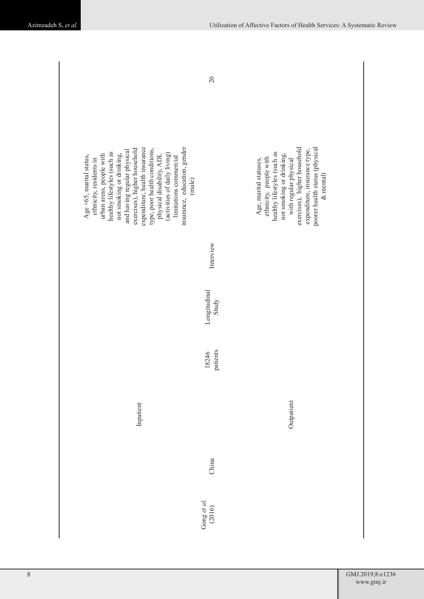|                                                                                                                                                                                                                                                                                                                                                                                                                | 20                    |                                                                                                                                                                                                                                                       |
|----------------------------------------------------------------------------------------------------------------------------------------------------------------------------------------------------------------------------------------------------------------------------------------------------------------------------------------------------------------------------------------------------------------|-----------------------|-------------------------------------------------------------------------------------------------------------------------------------------------------------------------------------------------------------------------------------------------------|
| expenditure, health insurance<br>insurance, education, gender<br>and having regular physical<br>exercises), higher household<br>type, poor health conditions,<br>healthy lifestyles (such as<br>(activities of daily living)<br>not smoking or drinking,<br>urban areas, people with<br>physical disability, ADL<br>Age $+65$ , marital status,<br>limitations commercial<br>ethnicity, residents in<br>(male) |                       | poorer health status (physical<br>with regular physical<br>exercises), higher household<br>expenditure, insurance type,<br>healthy lifestyles (such as<br>not smoking or drinking,<br>ethnicity, people with<br>Age, marital statuses,<br>$&$ mental) |
|                                                                                                                                                                                                                                                                                                                                                                                                                | Interview             |                                                                                                                                                                                                                                                       |
|                                                                                                                                                                                                                                                                                                                                                                                                                | Longitudinal<br>Study |                                                                                                                                                                                                                                                       |
|                                                                                                                                                                                                                                                                                                                                                                                                                | patients<br>18246     |                                                                                                                                                                                                                                                       |
| Inpatient                                                                                                                                                                                                                                                                                                                                                                                                      |                       | Outpatient                                                                                                                                                                                                                                            |
|                                                                                                                                                                                                                                                                                                                                                                                                                | China                 |                                                                                                                                                                                                                                                       |
|                                                                                                                                                                                                                                                                                                                                                                                                                | Gong et al.<br>(2016) |                                                                                                                                                                                                                                                       |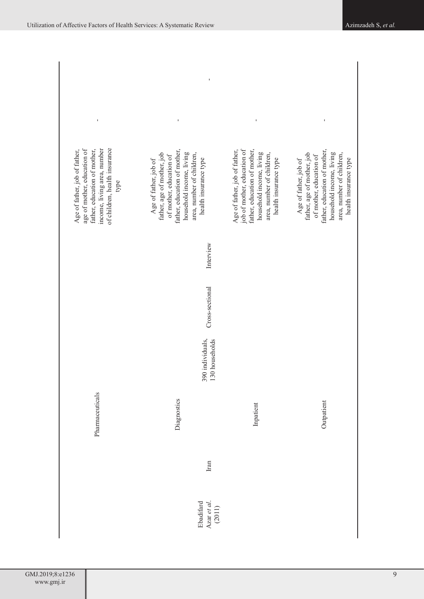| of children, health insurance<br>income, living area, number<br>age of mother, education of<br>Age of father, job of father,<br>father, education of mother,<br>type | father, education of mother,<br>father, age of mother, job<br>household income, living<br>area, number of children,<br>of mother, education of<br>health insurance type<br>Age of father, job of | Age of father, job of father,<br>job of mother, education of<br>father, education of mother,<br>household income, living<br>area, number of children,<br>health insurance type | ı<br>father, education of mother,<br>father, age of mother, job<br>household income, living<br>area, number of children,<br>of mother, education of<br>health insurance type<br>Age of father, job of |  |
|----------------------------------------------------------------------------------------------------------------------------------------------------------------------|--------------------------------------------------------------------------------------------------------------------------------------------------------------------------------------------------|--------------------------------------------------------------------------------------------------------------------------------------------------------------------------------|-------------------------------------------------------------------------------------------------------------------------------------------------------------------------------------------------------|--|
|                                                                                                                                                                      | Interview                                                                                                                                                                                        |                                                                                                                                                                                |                                                                                                                                                                                                       |  |
|                                                                                                                                                                      | Cross-sectional                                                                                                                                                                                  |                                                                                                                                                                                |                                                                                                                                                                                                       |  |
|                                                                                                                                                                      | 390 individuals,<br>130 households                                                                                                                                                               |                                                                                                                                                                                |                                                                                                                                                                                                       |  |
| Pharmaceuticals                                                                                                                                                      | Diagnostics                                                                                                                                                                                      | Inpatient                                                                                                                                                                      | Outpatient                                                                                                                                                                                            |  |
| Iran                                                                                                                                                                 |                                                                                                                                                                                                  |                                                                                                                                                                                |                                                                                                                                                                                                       |  |
|                                                                                                                                                                      | Azar et al.<br>Ebadifard<br>(2011)                                                                                                                                                               |                                                                                                                                                                                |                                                                                                                                                                                                       |  |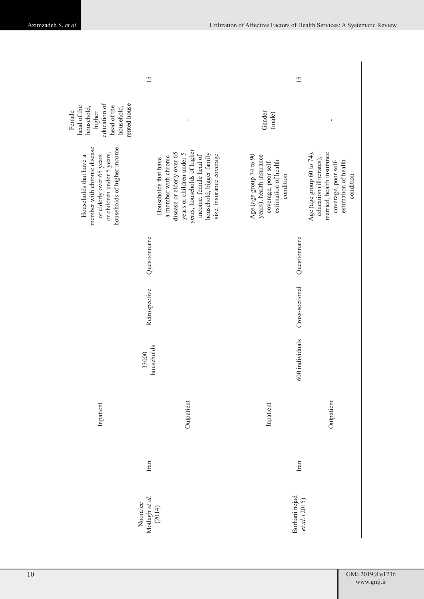|                                                                                                                                                | 15                                                                                                                                                                                                                        | 15                                                                                                               |                                                                                                                                                 |
|------------------------------------------------------------------------------------------------------------------------------------------------|---------------------------------------------------------------------------------------------------------------------------------------------------------------------------------------------------------------------------|------------------------------------------------------------------------------------------------------------------|-------------------------------------------------------------------------------------------------------------------------------------------------|
| education of<br>rented house<br>head of the<br>head of the<br>household,<br>household,<br>Female<br>higher                                     | $\mathbf I$                                                                                                                                                                                                               | Gender<br>(male)                                                                                                 | $\mathbf{I}$                                                                                                                                    |
| member with chronic disease<br>households of higher income<br>or children under 5 years,<br>or elderly over 65 years<br>Households that have a | years, households of higher<br>disease or elderly over 65<br>years or children under 5<br>household, bigger family<br>income, female head of<br>size, insurance coverage<br>a member with chronic<br>Households that have | Age (age group 74 to 90<br>years), health insurance<br>coverage, poor self-<br>estimation of health<br>condition | Age (age group 60 to 74),<br>married, health insurance<br>education (illiterates),<br>coverage, poor self-<br>estimation of health<br>condition |
|                                                                                                                                                | Questionnaire                                                                                                                                                                                                             | Questionnaire                                                                                                    |                                                                                                                                                 |
|                                                                                                                                                | Retrospective                                                                                                                                                                                                             | Cross-sectional                                                                                                  |                                                                                                                                                 |
|                                                                                                                                                | households<br>33000                                                                                                                                                                                                       | 600 individuals                                                                                                  |                                                                                                                                                 |
| Inpatient                                                                                                                                      | Outpatient                                                                                                                                                                                                                | Inpatient                                                                                                        | Outpatient                                                                                                                                      |
|                                                                                                                                                | Iran                                                                                                                                                                                                                      | Iran                                                                                                             |                                                                                                                                                 |
|                                                                                                                                                | Motlagh et al.<br>Nooraiee<br>(2014)                                                                                                                                                                                      | Borhani nejad<br>et al. (2015)                                                                                   |                                                                                                                                                 |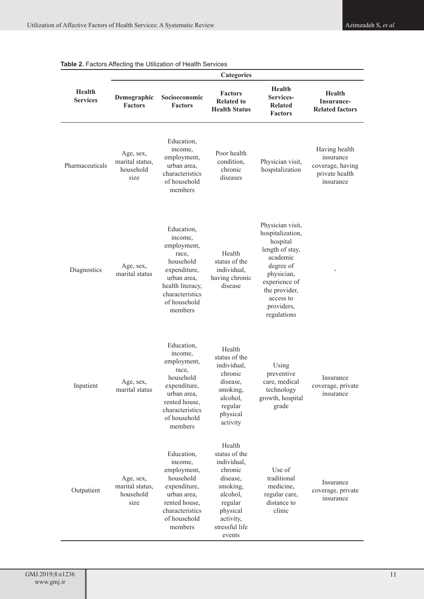|                                  | <b>Categories</b>                                 |                                                                                                                                                             |                                                                                                                                                       |                                                                                                                                                                                        |                                                                               |
|----------------------------------|---------------------------------------------------|-------------------------------------------------------------------------------------------------------------------------------------------------------------|-------------------------------------------------------------------------------------------------------------------------------------------------------|----------------------------------------------------------------------------------------------------------------------------------------------------------------------------------------|-------------------------------------------------------------------------------|
| <b>Health</b><br><b>Services</b> | Demographic<br><b>Factors</b>                     | Socioeconomic<br><b>Factors</b>                                                                                                                             | <b>Factors</b><br><b>Related to</b><br><b>Health Status</b>                                                                                           | <b>Health</b><br>Services-<br><b>Related</b><br><b>Factors</b>                                                                                                                         | <b>Health</b><br>Insurance-<br><b>Related factors</b>                         |
| Pharmaceuticals                  | Age, sex,<br>marital status,<br>household<br>size | Education,<br>income,<br>employment,<br>urban area,<br>characteristics<br>of household<br>members                                                           | Poor health<br>condition,<br>chronic<br>diseases                                                                                                      | Physician visit,<br>hospitalization                                                                                                                                                    | Having health<br>insurance<br>coverage, having<br>private health<br>insurance |
| Diagnostics                      | Age, sex,<br>marital status                       | Education,<br>income,<br>employment,<br>race,<br>household<br>expenditure,<br>urban area,<br>health literacy,<br>characteristics<br>of household<br>members | Health<br>status of the<br>individual,<br>having chronic<br>disease                                                                                   | Physician visit,<br>hospitalization,<br>hospital<br>length of stay,<br>academic<br>degree of<br>physician,<br>experience of<br>the provider,<br>access to<br>providers,<br>regulations |                                                                               |
| Inpatient                        | Age, sex,<br>marital status                       | Education,<br>income,<br>employment,<br>race,<br>household<br>expenditure,<br>urban area,<br>rented house,<br>characteristics<br>of household<br>members    | Health<br>status of the<br>individual,<br>chronic<br>disease,<br>smoking,<br>alcohol,<br>regular<br>physical<br>activity                              | Using<br>preventive<br>care, medical<br>technology<br>growth, hospital<br>grade                                                                                                        | Insurance<br>coverage, private<br>insurance                                   |
| Outpatient                       | Age, sex,<br>marital status,<br>household<br>size | Education,<br>income,<br>employment,<br>household<br>expenditure,<br>urban area,<br>rented house,<br>characteristics<br>of household<br>members             | Health<br>status of the<br>individual,<br>chronic<br>disease,<br>smoking,<br>alcohol,<br>regular<br>physical<br>activity,<br>stressful life<br>events | Use of<br>traditional<br>medicine,<br>regular care,<br>distance to<br>clinic                                                                                                           | Insurance<br>coverage, private<br>insurance                                   |

| Table 2. Factors Affecting the Utilization of Health Services |  |
|---------------------------------------------------------------|--|
|---------------------------------------------------------------|--|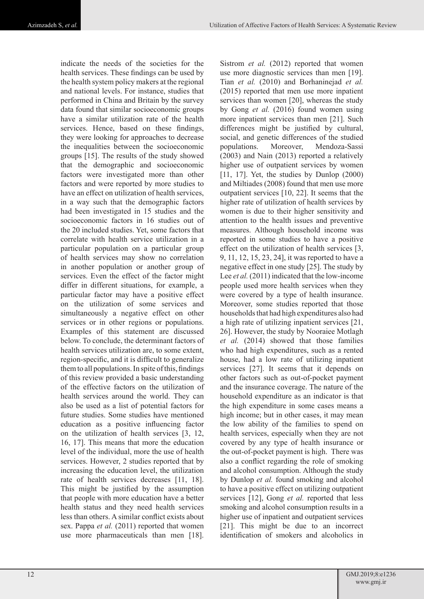indicate the needs of the societies for the health services. These findings can be used by the health system policy makers at the regional and national levels. For instance, studies that performed in China and Britain by the survey data found that similar socioeconomic groups have a similar utilization rate of the health services. Hence, based on these findings, they were looking for approaches to decrease the inequalities between the socioeconomic groups [15]. The results of the study showed that the demographic and socioeconomic factors were investigated more than other factors and were reported by more studies to have an effect on utilization of health services, in a way such that the demographic factors had been investigated in 15 studies and the socioeconomic factors in 16 studies out of the 20 included studies. Yet, some factors that correlate with health service utilization in a particular population on a particular group of health services may show no correlation in another population or another group of services. Even the effect of the factor might differ in different situations, for example, a particular factor may have a positive effect on the utilization of some services and simultaneously a negative effect on other services or in other regions or populations. Examples of this statement are discussed below. To conclude, the determinant factors of health services utilization are, to some extent, region-specific, and it is difficult to generalize them to all populations. In spite of this, findings of this review provided a basic understanding of the effective factors on the utilization of health services around the world. They can also be used as a list of potential factors for future studies. Some studies have mentioned education as a positive influencing factor on the utilization of health services [3, 12, 16, 17]. This means that more the education level of the individual, more the use of health services. However, 2 studies reported that by increasing the education level, the utilization rate of health services decreases [11, 18]. This might be justified by the assumption that people with more education have a better health status and they need health services less than others. A similar conflict exists about sex. Pappa *et al.* (2011) reported that women use more pharmaceuticals than men [18].

Sistrom *et al.* (2012) reported that women use more diagnostic services than men [19]. Tian *et al.* (2010) and Borhaninejad *et al.* (2015) reported that men use more inpatient services than women [20], whereas the study by Gong *et al.* (2016) found women using more inpatient services than men [21]. Such differences might be justified by cultural, social, and genetic differences of the studied populations. Moreover, Mendoza-Sassi (2003) and Nain (2013) reported a relatively higher use of outpatient services by women [11, 17]. Yet, the studies by Dunlop (2000) and Miltiades (2008) found that men use more outpatient services [10, 22]. It seems that the higher rate of utilization of health services by women is due to their higher sensitivity and attention to the health issues and preventive measures. Although household income was reported in some studies to have a positive effect on the utilization of health services [3, 9, 11, 12, 15, 23, 24], it was reported to have a negative effect in one study [25]. The study by Lee *et al.* (2011) indicated that the low-income people used more health services when they were covered by a type of health insurance. Moreover, some studies reported that those households that had high expenditures also had a high rate of utilizing inpatient services [21, 26]. However, the study by Nooraiee Motlagh *et al.* (2014) showed that those families who had high expenditures, such as a rented house, had a low rate of utilizing inpatient services [27]. It seems that it depends on other factors such as out-of-pocket payment and the insurance coverage. The nature of the household expenditure as an indicator is that the high expenditure in some cases means a high income; but in other cases, it may mean the low ability of the families to spend on health services, especially when they are not covered by any type of health insurance or the out-of-pocket payment is high. There was also a conflict regarding the role of smoking and alcohol consumption. Although the study by Dunlop *et al.* found smoking and alcohol to have a positive effect on utilizing outpatient services [12], Gong *et al.* reported that less smoking and alcohol consumption results in a higher use of inpatient and outpatient services [21]. This might be due to an incorrect identification of smokers and alcoholics in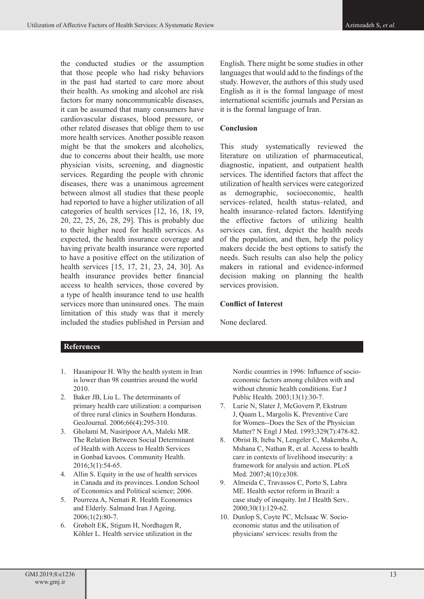the conducted studies or the assumption that those people who had risky behaviors in the past had started to care more about their health. As smoking and alcohol are risk factors for many noncommunicable diseases, it can be assumed that many consumers have cardiovascular diseases, blood pressure, or other related diseases that oblige them to use more health services. Another possible reason might be that the smokers and alcoholics, due to concerns about their health, use more physician visits, screening, and diagnostic services. Regarding the people with chronic diseases, there was a unanimous agreement between almost all studies that these people had reported to have a higher utilization of all categories of health services [12, 16, 18, 19, 20, 22, 25, 26, 28, 29]. This is probably due to their higher need for health services. As expected, the health insurance coverage and having private health insurance were reported to have a positive effect on the utilization of health services [15, 17, 21, 23, 24, 30]. As health insurance provides better financial access to health services, those covered by a type of health insurance tend to use health services more than uninsured ones. The main limitation of this study was that it merely included the studies published in Persian and English. There might be some studies in other languages that would add to the findings of the study. However, the authors of this study used English as it is the formal language of most international scientific journals and Persian as it is the formal language of Iran.

#### **Conclusion**

This study systematically reviewed the literature on utilization of pharmaceutical, diagnostic, inpatient, and outpatient health services. The identified factors that affect the utilization of health services were categorized as demographic, socioeconomic, health services–related, health status–related, and health insurance–related factors. Identifying the effective factors of utilizing health services can, first, depict the health needs of the population, and then, help the policy makers decide the best options to satisfy the needs. Such results can also help the policy makers in rational and evidence-informed decision making on planning the health services provision.

### **Conflict of Interest**

None declared.

# **References**

- 1. Hasanipour H. Why the health system in Iran is lower than 98 countries around the world 2010.
- 2. Baker JB, Liu L. The determinants of primary health care utilization: a comparison of three rural clinics in Southern Honduras. GeoJournal. 2006;66(4):295-310.
- 3. Gholami M, Nasiripoor AA, Maleki MR. The Relation Between Social Determinant of Health with Access to Health Services in Gonbad kavoos. Community Health. 2016;3(1):54-65.
- 4. Allin S. Equity in the use of health services in Canada and its provinces. London School of Economics and Political science; 2006.
- 5. Pourreza A, Nemati R. Health Economics and Elderly. Salmand Iran J Ageing. 2006;1(2):80-7.
- 6. Grøholt EK, Stigum H, Nordhagen R, Köhler L. Health service utilization in the

Nordic countries in 1996: Influence of socioeconomic factors among children with and without chronic health conditions. Eur J Public Health. 2003;13(1):30-7.

- 7. Lurie N, Slater J, McGovern P, Ekstrum J, Quam L, Margolis K. Preventive Care for Women--Does the Sex of the Physician Matter? N Engl J Med. 1993;329(7):478-82.
- 8. Obrist B, Iteba N, Lengeler C, Makemba A, Mshana C, Nathan R, et al. Access to health care in contexts of livelihood insecurity: a framework for analysis and action. PLoS Med. 2007;4(10):e308.
- 9. Almeida C, Travassos C, Porto S, Labra ME. Health sector reform in Brazil: a case study of inequity. Int J Health Serv.. 2000;30(1):129-62.
- 10. Dunlop S, Coyte PC, McIsaac W. Socioeconomic status and the utilisation of physicians' services: results from the